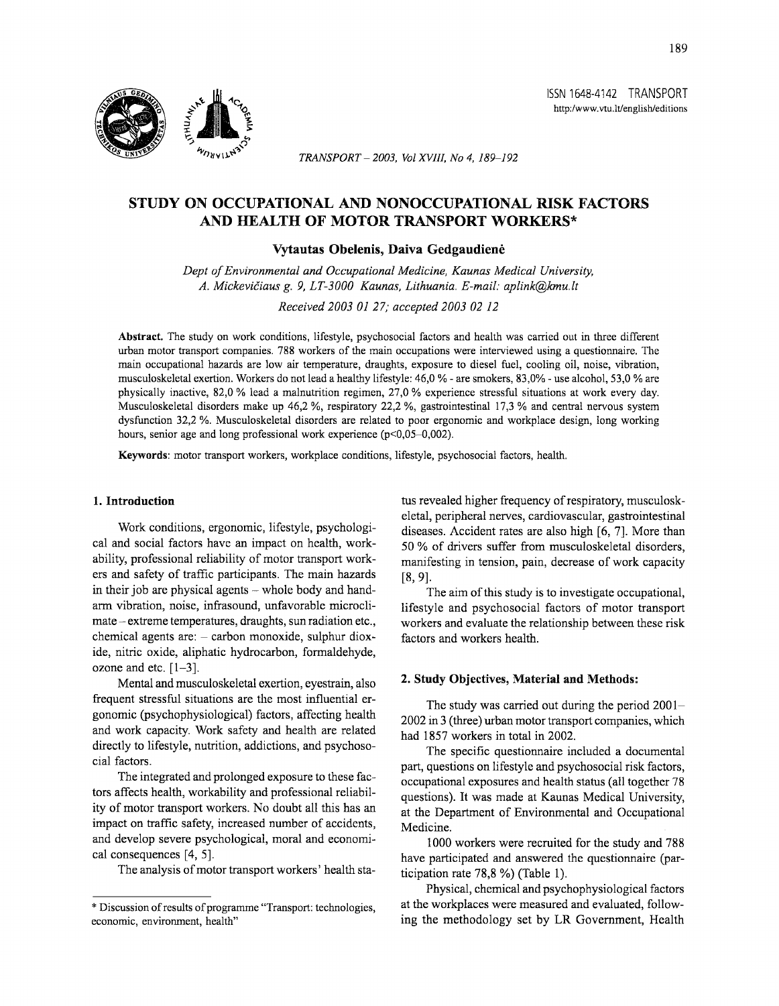

*TRANSPORT- 2003, Vol XVIII, No 4, 189-192* 

# **STUDY ON OCCUPATIONAL AND NONOCCUPATIONAL RISK FACTORS AND HEALTH OF MOTOR TRANSPORT WORKERS\***

## **Vytautas Obelenis, Daiva Gedgaudiene**

*Dept of Environmental and Occupational Medicine, Kaunas Medical University, A. MickeviCiaus g. 9, LT-3000 Kaunas, Lithuania. E-mail: aplink@kmu.lt* 

*Received 2003* OJ *27; accepted 2003 02 12* 

**Abstract.** The study on work conditions, lifestyle, psychosocial factors and health was carried out in three different urban motor transport companies. 788 workers of the main occupations were interviewed using a questionnaire. The main occupational hazards are low air temperature, draughts, exposure to diesel fuel, cooling oil, noise, vibration, musculoskeletal exertion. Workers do not lead a healthy lifestyle: 46,0 %-are smokers, 83,0%- use alcohol, 53,0% are physically inactive, 82,0% lead a malnutrition regimen, 27,0% experience stressful situations at work every day. Musculoskeletal disorders make up 46,2 %, respiratory 22,2 %, gastrointestinal 17,3 % and central nervous system dysfunction 32,2 %. Musculoskeletal disorders are related to poor ergonomic and workplace design, long working hours, senior age and long professional work experience (p<0,05-0,002).

**Keywords:** motor transport workers, workplace conditions, lifestyle, psychosocial factors, health.

### **1. Introduction**

Work conditions, ergonomic, lifestyle, psychological and social factors have an impact on health, workability, professional reliability of motor transport workers and safety of traffic participants. The main hazards in their job are physical agents - whole body and handarm vibration, noise, infrasound, unfavorable microclimate – extreme temperatures, draughts, sun radiation etc., chemical agents are: - carbon monoxide, sulphur dioxide, nitric oxide, aliphatic hydrocarbon, formaldehyde, ozone and etc.  $[1-3]$ .

Mental and musculoskeletal exertion, eyestrain, also frequent stressful situations are the most influential ergonomic (psychophysiological) factors, affecting health and work capacity. Work safety and health are related directly to lifestyle, nutrition, addictions, and psychosocial factors.

The integrated and prolonged exposure to these factors affects health, workability and professional reliability of motor transport workers. No doubt all this has an impact on traffic safety, increased number of accidents, and develop severe psychological, moral and economical consequences [4, 5].

The analysis of motor transport workers' health sta-

tus revealed higher frequency of respiratory, musculoskeletal, peripheral nerves, cardiovascular, gastrointestinal diseases. Accident rates are also high [6, 7]. More than 50 % of drivers suffer from musculoskeletal disorders, manifesting in tension, pain, decrease of work capacity [8, 9].

The aim of this study is to investigate occupational, lifestyle and psychosocial factors of motor transport workers and evaluate the relationship between these risk factors and workers health.

### **2. Study Objectives, Material and Methods:**

The study was carried out during the period 2001- 2002 in 3 (three) urban motor transport companies, which had 1857 workers in total in 2002.

The specific questionnaire included a documental part, questions on lifestyle and psychosocial risk factors, occupational exposures and health status (all together 78 questions). It was made at Kaunas Medical University, at the Department of Environmental and Occupational Medicine.

1000 workers were recruited for the study and 788 have participated and answered the questionnaire (participation rate 78,8 %) (Table 1).

Physical, chemical and psychophysiological factors at the workplaces were measured and evaluated, following the methodology set by LR Government, Health

ISSN 1648-4142 TRANSPORT http:/www.vtu.lt/english/editions

<sup>\*</sup>Discussion of results of programme "Transport: technologies, economic, environment, health"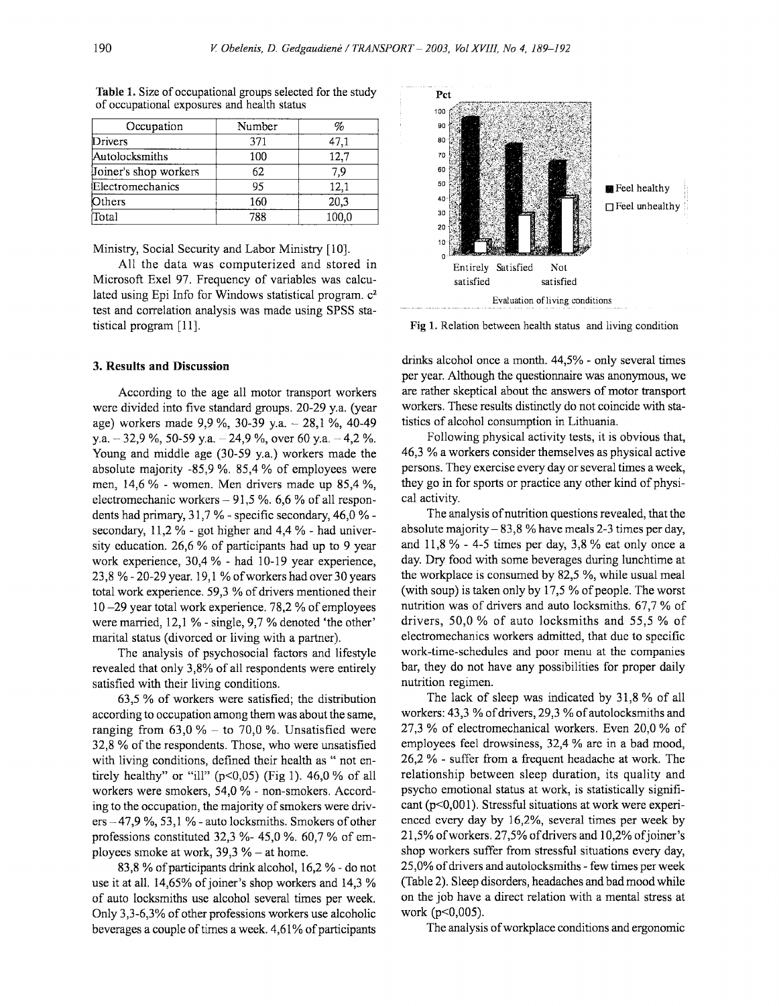| Occupation            | Number |       |  |
|-----------------------|--------|-------|--|
| 371<br>Drivers        |        | 47,1  |  |
| Autolocksmiths        | 100    | 12.7  |  |
| Joiner's shop workers | 62     | 7.9   |  |
| Electromechanics      | 95     | 12.1  |  |
| Others                | 160    | 20,3  |  |
| Total                 | 788    | 100.0 |  |

**Table** 1. Size of occupational groups selected for the study of occupational exposures and health status

Ministry, Social Security and Labor Ministry [10].

All the data was computerized and stored in Microsoft Exel 97. Frequency of variables was calculated using Epi Info for Windows statistical program. c2 test and correlation analysis was made using SPSS statistical program [11].

#### **3. Results and Discussion**

According to the age all motor transport workers were divided into five standard groups. 20-29 y.a. (year age) workers made 9,9 %, 30-39 y.a. - 28,1 %, 40-49 y.a.  $-32.9\%$ , 50-59 y.a.  $-24.9\%$ , over 60 y.a.  $-4.2\%$ . Young and middle age (30-59 y.a.) workers made the absolute majority -85,9 %. 85,4% of employees were men, 14,6% - women. Men drivers made up 85,4 %, electromechanic workers  $-91,5%$ . 6,6% of all respondents had primary, 31,7 % - specific secondary, 46,0 % secondary,  $11.2\%$  - got higher and  $4.4\%$  - had university education. 26,6 % of participants had up to 9 year work experience, 30,4 % - had 10-19 year experience, 23,8 %-20-29 year. 19,1 %of workers had over 30 years total work experience. 59,3% of drivers mentioned their 10 -29 year total work experience. 78,2 % of employees were married, 12,1 % - single, 9,7 % denoted 'the other' marital status (divorced or living with a partner).

The analysis of psychosocial factors and lifestyle revealed that only 3,8% of all respondents were entirely satisfied with their living conditions.

63,5 % of workers were satisfied; the distribution according to occupation among them was about the same, ranging from  $63,0%$  - to  $70,0%$ . Unsatisfied were 32,8% of the respondents. Those, who were unsatisfied with living conditions, defined their health as " not entirely healthy" or "ill" ( $p<0,05$ ) (Fig 1). 46,0% of all workers were smokers, 54,0 % - non-smokers. According to the occupation, the majority of smokers were driv $ers -47.9 \%$ , 53,1% - auto locksmiths. Smokers of other professions constituted 32,3 %- 45,0 %. 60,7% of employees smoke at work,  $39.3%$  - at home.

83,8% of participants drink alcohol, 16,2%- do not use it at all. 14,65% of joiner's shop workers and 14,3% of auto locksmiths use alcohol several times per week. Only 3,3-6,3% of other professions workers use alcoholic beverages a couple of times a week. 4,61% of participants



**Fig** 1. Relation between health status and living condition

drinks alcohol once a month. 44,5% - only several times per year. Although the questionnaire was anonymous, we are rather skeptical about the answers of motor transport workers. These results distinctly do not coincide with statistics of alcohol consumption in Lithuania.

Following physical activity tests, it is obvious that, 46,3 % a workers consider themselves as physical active persons. They exercise every day or several times a week, they go in for sports or practice any other kind of physical activity.

The analysis of nutrition questions revealed, that the absolute majority  $- 83.8$  % have meals 2-3 times per day, and  $11,8\%$  - 4-5 times per day, 3,8% eat only once a day. Dry food with some beverages during lunchtime at the workplace is consumed by 82,5 %, while usual meal (with soup) is taken only by 17,5 % of people. The worst nutrition was of drivers and auto locksmiths. 67,7% of drivers, 50,0% of auto locksmiths and 55,5% of electromechanics workers admitted, that due to specific work-time-schedules and poor menu at the companies bar, they do not have any possibilities for proper daily nutrition regimen.

The lack of sleep was indicated by 31,8 % of all workers:  $43,3\%$  of drivers,  $29,3\%$  of autolocksmiths and 27,3% of electromechanical workers. Even 20,0% of employees feel drowsiness, 32,4 % are in a bad mood, 26,2 % - suffer from a frequent headache at work. The relationship between sleep duration, its quality and psycho emotional status at work, is statistically significant (p<0,001). Stressful situations at work were experienced every day by 16,2%, several times per week by 21,5% of workers. 27,5% of drivers and 10,2% of joiner's shop workers suffer from stressful situations every day, 25,0% of drivers and autolocksmiths- few times per week (Table 2). Sleep disorders, headaches and bad mood while on the job have a direct relation with a mental stress at work (p<0,005).

The analysis of workplace conditions and ergonomic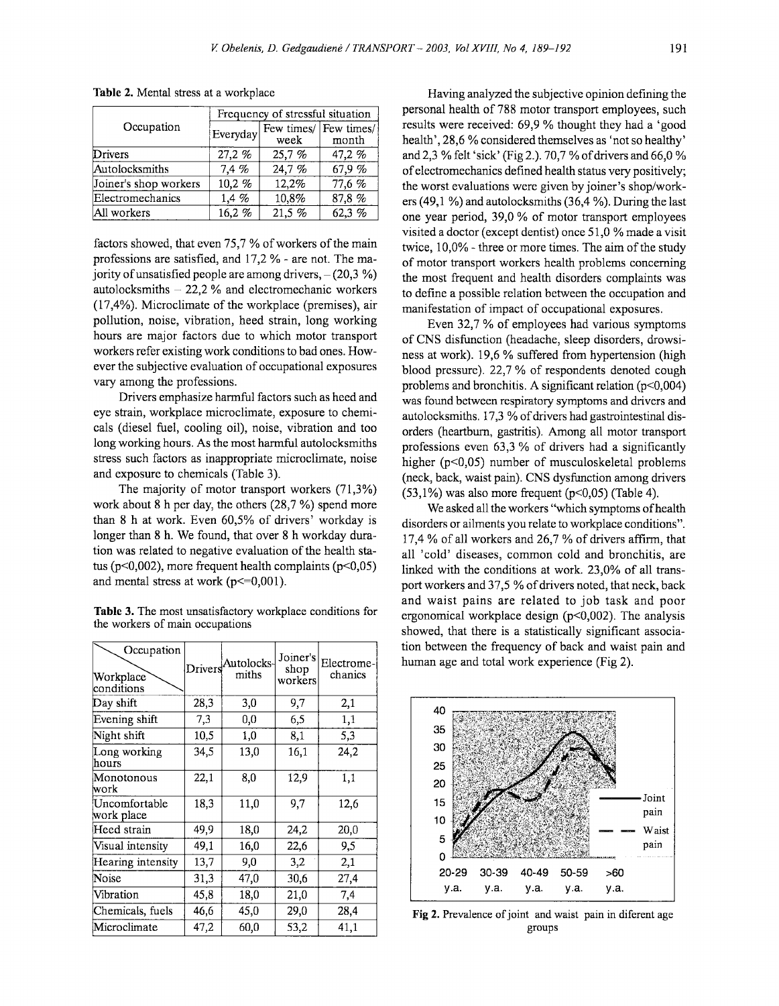| Occupation            | Frequency of stressful situation |                          |        |  |
|-----------------------|----------------------------------|--------------------------|--------|--|
|                       | Everyday                         | Few times/<br>week month |        |  |
| Drivers               | 27,2%                            | 25,7%                    | 47,2 % |  |
| Autolocksmiths        | 7,4%                             | 24,7%                    | 67,9%  |  |
| Joiner's shop workers | 10,2%                            | 12,2%                    | 77,6 % |  |
| Electromechanics      | 1,4%                             | 10,8%                    | 87,8%  |  |
| All workers           | 16,2%                            | 21,5 %                   | 62,3 % |  |

Table 2. Mental stress at a workplace

factors showed, that even 75,7% of workers of the main professions are satisfied, and 17,2%- are not. The majority of unsatisfied people are among drivers,  $- (20,3 \%)$ autolocksmiths  $-22.2$ % and electromechanic workers (17,4%). Microclimate of the workplace (premises), air pollution, noise, vibration, heed strain, long working hours are major factors due to which motor transport workers refer existing work conditions to bad ones. However the subjective evaluation of occupational exposures vary among the professions.

Drivers emphasize harmful factors such as heed and eye strain, workplace microclimate, exposure to chemicals (diesel fuel, cooling oil), noise, vibration and too long working hours. As the most harmful autolocksmiths stress such factors as inappropriate microclimate, noise and exposure to chemicals (Table 3).

The majority of motor transport workers (71,3%) work about 8 h per day, the others (28,7 %) spend more than 8 h at work. Even 60,5% of drivers' workday is longer than 8 h. We found, that over 8 h workday duration was related to negative evaluation of the health status (p<0,002), more frequent health complaints (p<0,05) and mental stress at work  $(p \le 0.001)$ .

Table 3. The most unsatisfactory workplace conditions for the workers of main occupations

| the workers of main occupations       |         |                     |                             |                       |
|---------------------------------------|---------|---------------------|-----------------------------|-----------------------|
| Occupation<br>Workplace<br>conditions | Drivers | Autolocks-<br>miths | Joiner's<br>shop<br>workers | Electrome-<br>chanics |
| Day shift                             | 28,3    | 3,0                 | 9,7                         | 2,1                   |
| Evening shift                         | 7,3     | 0,0                 | 6,5                         | 1,1                   |
| Night shift                           | 10,5    | 1,0                 | 8,1                         | 5,3                   |
| Long working<br>hours                 | 34,5    | 13,0                | 16,1                        | 24,2                  |
| Monotonous<br>lwork                   | 22,1    | 8,0                 | 12,9                        | 1,1                   |
| Uncomfortable<br>work place           | 18,3    | 11,0                | 9,7                         | 12,6                  |
| Heed strain                           | 49,9    | 18,0                | 24,2                        | 20,0                  |
| Visual intensity                      | 49,1    | 16,0                | 22,6                        | 9,5                   |
| Hearing intensity                     | 13,7    | 9,0                 | 3,2                         | 2,1                   |
| Noise                                 | 31,3    | 47,0                | 30,6                        | 27,4                  |
| Vibration                             | 45,8    | 18,0                | 21,0                        | 7,4                   |
| Chemicals, fuels                      | 46,6    | 45,0                | 29,0                        | 28,4                  |
| Microclimate                          | 47,2    | 60,0                | 53,2                        | 41,1                  |

Having analyzed the subjective opinion defming the personal health of 788 motor transport employees, such results were received: 69,9% thought they had a 'good health', 28,6% considered themselves as 'not so healthy' and2,3% felt 'sick' (Fig 2.). 70,7% of drivers and 66,0% of electromechanics defined health status very positively; the worst evaluations were given by joiner's shop/workers (49,1 %) and autolocksmiths (36,4 %). During the last one year period, 39,0% of motor transport employees visited a doctor (except dentist) once 51,0 % made a visit twice,  $10,0\%$  - three or more times. The aim of the study of motor transport workers health problems concerning the most frequent and health disorders complaints was to define a possible relation between the occupation and manifestation of impact of occupational exposures.

Even 32,7 % of employees had various symptoms of CNS disfunction (headache, sleep disorders, drowsiness at work). 19,6% suffered from hypertension (high blood pressure). 22,7% of respondents denoted cough problems and bronchitis. A significant relation (p<0,004) was found between respiratory symptoms and drivers and autolocksmiths. 17,3% of drivers had gastrointestinal disorders (heartburn, gastritis). Among all motor transport professions even 63,3% of drivers had a significantly higher (p<0,05) number of musculoskeletal problems (neck, back, waist pain). CNS dysfunction among drivers  $(53,1\%)$  was also more frequent (p<0,05) (Table 4).

We asked all the workers "which symptoms of health disorders or ailments you relate to workplace conditions". 17,4% of all workers and 26,7% of drivers affirm, that all 'cold' diseases, common cold and bronchitis, are linked with the conditions at work. 23,0% of all transport workers and 37,5 % of drivers noted, that neck, back and waist pains are related to job task and poor ergonomical workplace design  $(p<0,002)$ . The analysis showed, that there is a statistically significant association between the frequency of back and waist pain and human age and total work experience (Fig 2).



Fig 2. Prevalence of joint and waist pain in diferent age groups